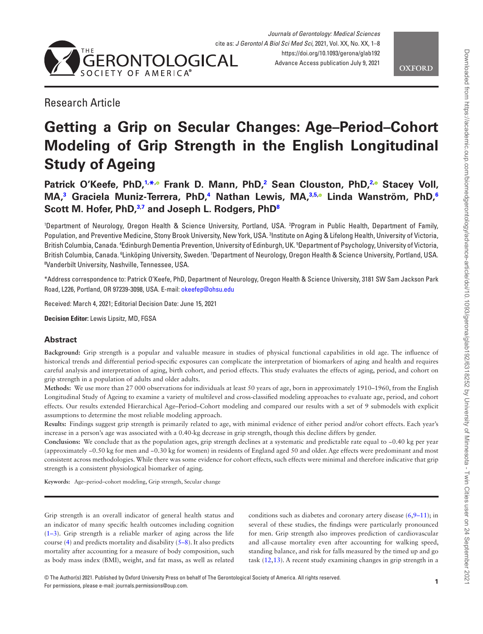

*Journals of Gerontology: Medical Sciences* cite as: *J Gerontol A Biol Sci Med Sci*, 2021, Vol. XX, No. XX, 1–8 <https://doi.org/10.1093/gerona/glab192> Advance Access publication July 9, 2021

**OXFORD** 

## Research Article

# **Getting a Grip on Secular Changes: Age–Period–Cohort Modeling of Grip Strength in the English Longitudinal Study of Ageing**

**Patrick O'Keefe, PhD,[1,](#page-0-0) [\\*](#page-0-1)[,](https://orcid.org/0000-0002-5343-0130) Frank D. Mann, PhD[,2](#page-0-2) Sean Clouston, PhD[,2](#page-0-2)[,](https://orcid.org/0000-0002-6124-0329) Stacey Voll, MA,[3](#page-0-3) Graciela Muniz-Terrera, PhD,[4](#page-0-4) Nathan Lewis, MA[,3](#page-0-3)[,5](#page-0-5)[,](https://orcid.org/0000-0002-9426-292X) Linda Wanström, PhD,[6](#page-0-6) Scott M. Hofer, PhD,[3,](#page-0-3)[7](#page-0-7) and Joseph L. Rodgers, Ph[D8](#page-0-8)**

<span id="page-0-7"></span><span id="page-0-5"></span><span id="page-0-4"></span><span id="page-0-3"></span><span id="page-0-2"></span><span id="page-0-0"></span>1 Department of Neurology, Oregon Health & Science University, Portland, USA. 2 Program in Public Health, Department of Family, Population, and Preventive Medicine, Stony Brook University, New York, USA. 3 Institute on Aging & Lifelong Health, University of Victoria, British Columbia, Canada. 4 Edinburgh Dementia Prevention, University of Edinburgh, UK. 5 Department of Psychology, University of Victoria, British Columbia, Canada. <sup>6</sup>Linköping University, Sweden. <sup>7</sup>Department of Neurology, Oregon Health & Science University, Portland, USA. 8 Vanderbilt University, Nashville, Tennessee, USA.

<span id="page-0-8"></span><span id="page-0-6"></span><span id="page-0-1"></span>\*Address correspondence to: Patrick O'Keefe, PhD, Department of Neurology, Oregon Health & Science University, 3181 SW Sam Jackson Park Road, L226, Portland, OR 97239-3098, USA. E-mail: [okeefep@ohsu.edu](mailto:okeefep@ohsu.edu?subject=)

Received: March 4, 2021; Editorial Decision Date: June 15, 2021

**Decision Editor:** Lewis Lipsitz, MD, FGSA

## **Abstract**

**Background:** Grip strength is a popular and valuable measure in studies of physical functional capabilities in old age. The influence of historical trends and differential period-specific exposures can complicate the interpretation of biomarkers of aging and health and requires careful analysis and interpretation of aging, birth cohort, and period effects. This study evaluates the effects of aging, period, and cohort on grip strength in a population of adults and older adults.

**Methods:** We use more than 27 000 observations for individuals at least 50 years of age, born in approximately 1910–1960, from the English Longitudinal Study of Ageing to examine a variety of multilevel and cross-classified modeling approaches to evaluate age, period, and cohort effects. Our results extended Hierarchical Age–Period–Cohort modeling and compared our results with a set of 9 submodels with explicit assumptions to determine the most reliable modeling approach.

**Results:** Findings suggest grip strength is primarily related to age, with minimal evidence of either period and/or cohort effects. Each year's increase in a person's age was associated with a 0.40-kg decrease in grip strength, though this decline differs by gender.

**Conclusions:** We conclude that as the population ages, grip strength declines at a systematic and predictable rate equal to −0.40 kg per year (approximately −0.50 kg for men and −0.30 kg for women) in residents of England aged 50 and older. Age effects were predominant and most consistent across methodologies. While there was some evidence for cohort effects, such effects were minimal and therefore indicative that grip strength is a consistent physiological biomarker of aging.

**Keywords:** Age–period–cohort modeling, Grip strength, Secular change

Grip strength is an overall indicator of general health status and an indicator of many specific health outcomes including cognition [\(1–](#page-6-0)[3](#page-6-1)). Grip strength is a reliable marker of aging across the life course [\(4\)](#page-6-2) and predicts mortality and disability [\(5–](#page-6-3)[8](#page-6-4)). It also predicts mortality after accounting for a measure of body composition, such as body mass index (BMI), weight, and fat mass, as well as related conditions such as diabetes and coronary artery disease  $(6,9-11)$  $(6,9-11)$  $(6,9-11)$  $(6,9-11)$ ; in several of these studies, the findings were particularly pronounced for men. Grip strength also improves prediction of cardiovascular and all-cause mortality even after accounting for walking speed, standing balance, and risk for falls measured by the timed up and go task ([12,](#page-6-8)[13\)](#page-6-9). A recent study examining changes in grip strength in a

© The Author(s) 2021. Published by Oxford University Press on behalf of The Gerontological Society of America. All rights reserved. For permissions, please e-mail: journals.permissions@oup.com.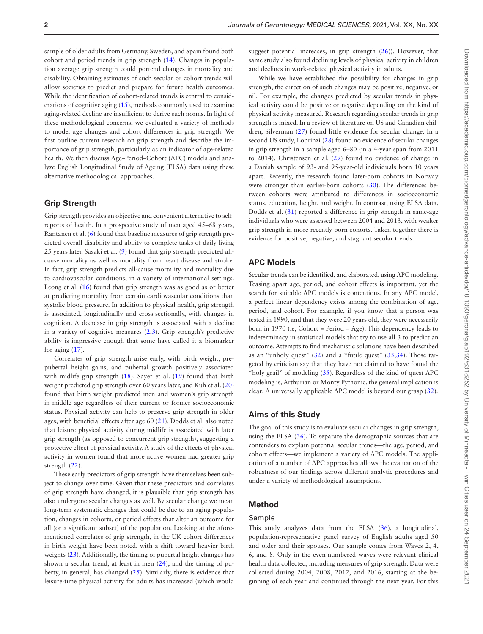sample of older adults from Germany, Sweden, and Spain found both cohort and period trends in grip strength [\(14](#page-6-10)). Changes in population average grip strength could portend changes in mortality and disability. Obtaining estimates of such secular or cohort trends will allow societies to predict and prepare for future health outcomes. While the identification of cohort-related trends is central to considerations of cognitive aging ([15\)](#page-6-11), methods commonly used to examine aging-related decline are insufficient to derive such norms. In light of these methodological concerns, we evaluated a variety of methods to model age changes and cohort differences in grip strength. We first outline current research on grip strength and describe the importance of grip strength, particularly as an indicator of age-related health. We then discuss Age–Period–Cohort (APC) models and analyze English Longitudinal Study of Ageing (ELSA) data using these alternative methodological approaches.

## **Grip Strength**

Grip strength provides an objective and convenient alternative to selfreports of health. In a prospective study of men aged 45–68 years, Rantanen et al. ([6](#page-6-5)) found that baseline measures of grip strength predicted overall disability and ability to complete tasks of daily living 25 years later. Sasaki et al. ([9](#page-6-6)) found that grip strength predicted allcause mortality as well as mortality from heart disease and stroke. In fact, grip strength predicts all-cause mortality and mortality due to cardiovascular conditions, in a variety of international settings. Leong et al. [\(16](#page-6-12)) found that grip strength was as good as or better at predicting mortality from certain cardiovascular conditions than systolic blood pressure. In addition to physical health, grip strength is associated, longitudinally and cross-sectionally, with changes in cognition. A decrease in grip strength is associated with a decline in a variety of cognitive measures  $(2,3)$  $(2,3)$  $(2,3)$ . Grip strength's predictive ability is impressive enough that some have called it a biomarker for aging ([17\)](#page-6-14).

Correlates of grip strength arise early, with birth weight, prepubertal height gains, and pubertal growth positively associated with midlife grip strength ([18](#page-6-15)). Sayer et al. ([19](#page-6-16)) found that birth weight predicted grip strength over 60 years later, and Kuh et al. [\(20\)](#page-6-17) found that birth weight predicted men and women's grip strength in middle age regardless of their current or former socioeconomic status. Physical activity can help to preserve grip strength in older ages, with beneficial effects after age 60 [\(21](#page-7-0)). Dodds et al. also noted that leisure physical activity during midlife is associated with later grip strength (as opposed to concurrent grip strength), suggesting a protective effect of physical activity. A study of the effects of physical activity in women found that more active women had greater grip strength ([22](#page-7-1)).

These early predictors of grip strength have themselves been subject to change over time. Given that these predictors and correlates of grip strength have changed, it is plausible that grip strength has also undergone secular changes as well. By secular change we mean long-term systematic changes that could be due to an aging population, changes in cohorts, or period effects that alter an outcome for all (or a significant subset) of the population. Looking at the aforementioned correlates of grip strength, in the UK cohort differences in birth weight have been noted, with a shift toward heavier birth weights ([23\)](#page-7-2). Additionally, the timing of pubertal height changes has shown a secular trend, at least in men ([24\)](#page-7-3), and the timing of puberty, in general, has changed ([25\)](#page-7-4). Similarly, there is evidence that leisure-time physical activity for adults has increased (which would

suggest potential increases, in grip strength [\(26\)](#page-7-5)). However, that same study also found declining levels of physical activity in children and declines in work-related physical activity in adults.

While we have established the possibility for changes in grip strength, the direction of such changes may be positive, negative, or nil. For example, the changes predicted by secular trends in physical activity could be positive or negative depending on the kind of physical activity measured. Research regarding secular trends in grip strength is mixed. In a review of literature on US and Canadian children, Silverman [\(27](#page-7-6)) found little evidence for secular change. In a second US study, Loprinzi ([28\)](#page-7-7) found no evidence of secular changes in grip strength in a sample aged 6–80 (in a 4-year span from 2011 to 2014). Christensen et al. [\(29](#page-7-8)) found no evidence of change in a Danish sample of 93- and 95-year-old individuals born 10 years apart. Recently, the research found later-born cohorts in Norway were stronger than earlier-born cohorts [\(30](#page-7-9)). The differences between cohorts were attributed to differences in socioeconomic status, education, height, and weight. In contrast, using ELSA data, Dodds et al. [\(31](#page-7-10)) reported a difference in grip strength in same-age individuals who were assessed between 2004 and 2013, with weaker grip strength in more recently born cohorts. Taken together there is evidence for positive, negative, and stagnant secular trends.

## **APC Models**

Secular trends can be identified, and elaborated, using APC modeling. Teasing apart age, period, and cohort effects is important, yet the search for suitable APC models is contentious. In any APC model, a perfect linear dependency exists among the combination of age, period, and cohort. For example, if you know that a person was tested in 1990, and that they were 20 years old, they were necessarily born in 1970 (ie, Cohort = Period − Age). This dependency leads to indeterminacy in statistical models that try to use all 3 to predict an outcome. Attempts to find mechanistic solutions have been described as an "unholy quest" [\(32\)](#page-7-11) and a "futile quest" [\(33](#page-7-12)[,34](#page-7-13)). Those targeted by criticism say that they have not claimed to have found the "holy grail" of modeling ([35\)](#page-7-14). Regardless of the kind of quest APC modeling is, Arthurian or Monty Pythonic, the general implication is clear: A universally applicable APC model is beyond our grasp ([32](#page-7-11)).

#### **Aims of this Study**

The goal of this study is to evaluate secular changes in grip strength, using the ELSA ([36\)](#page-7-15). To separate the demographic sources that are contenders to explain potential secular trends—the age, period, and cohort effects—we implement a variety of APC models. The application of a number of APC approaches allows the evaluation of the robustness of our findings across different analytic procedures and under a variety of methodological assumptions.

## **Method**

## Sample

This study analyzes data from the ELSA [\(36](#page-7-15)), a longitudinal, population-representative panel survey of English adults aged 50 and older and their spouses. Our sample comes from Waves 2, 4, 6, and 8. Only in the even-numbered waves were relevant clinical health data collected, including measures of grip strength. Data were collected during 2004, 2008, 2012, and 2016, starting at the beginning of each year and continued through the next year. For this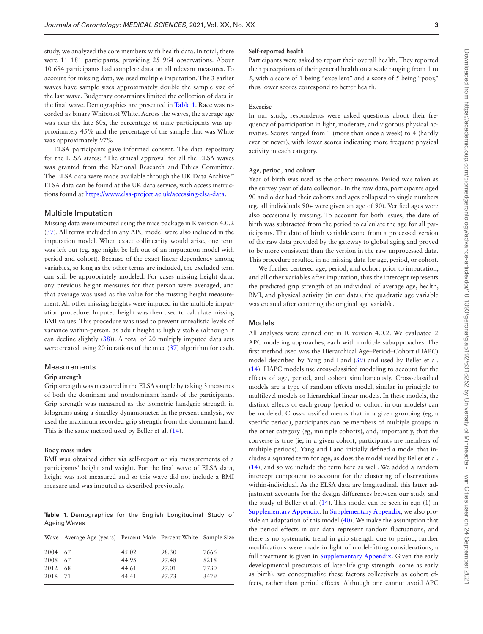study, we analyzed the core members with health data. In total, there were 11 181 participants, providing 25 964 observations. About 10 684 participants had complete data on all relevant measures. To account for missing data, we used multiple imputation. The 3 earlier waves have sample sizes approximately double the sample size of the last wave. Budgetary constraints limited the collection of data in the final wave. Demographics are presented in [Table 1.](#page-2-0) Race was recorded as binary White/not White. Across the waves, the average age was near the late 60s, the percentage of male participants was approximately 45% and the percentage of the sample that was White was approximately 97%.

ELSA participants gave informed consent. The data repository for the ELSA states: "The ethical approval for all the ELSA waves was granted from the National Research and Ethics Committee. The ELSA data were made available through the UK Data Archive." ELSA data can be found at the UK data service, with access instructions found at<https://www.elsa-project.ac.uk/accessing-elsa-data>.

#### Multiple Imputation

Missing data were imputed using the mice package in R version 4.0.2 [\(37](#page-7-16)). All terms included in any APC model were also included in the imputation model. When exact collinearity would arise, one term was left out (eg, age might be left out of an imputation model with period and cohort). Because of the exact linear dependency among variables, so long as the other terms are included, the excluded term can still be appropriately modeled. For cases missing height data, any previous height measures for that person were averaged, and that average was used as the value for the missing height measurement. All other missing heights were imputed in the multiple imputation procedure. Imputed height was then used to calculate missing BMI values. This procedure was used to prevent unrealistic levels of variance within-person, as adult height is highly stable (although it can decline slightly ([38\)](#page-7-17)). A total of 20 multiply imputed data sets were created using 20 iterations of the mice [\(37](#page-7-16)) algorithm for each.

#### Measurements

#### **Grip strength**

Grip strength was measured in the ELSA sample by taking 3 measures of both the dominant and nondominant hands of the participants. Grip strength was measured as the isometric handgrip strength in kilograms using a Smedley dynamometer. In the present analysis, we used the maximum recorded grip strength from the dominant hand. This is the same method used by Beller et al. [\(14](#page-6-10)).

#### **Body mass index**

BMI was obtained either via self-report or via measurements of a participants' height and weight. For the final wave of ELSA data, height was not measured and so this wave did not include a BMI measure and was imputed as described previously.

<span id="page-2-0"></span>**Table 1.** Demographics for the English Longitudinal Study of Ageing Waves

|         | Wave Average Age (years) Percent Male Percent White Sample Size |       |       |      |
|---------|-----------------------------------------------------------------|-------|-------|------|
| 2004 67 |                                                                 | 45.02 | 98.30 | 7666 |
| 2008 67 |                                                                 | 44.95 | 97.48 | 8218 |
| 2012 68 |                                                                 | 44.61 | 97.01 | 7730 |
| 2016 71 |                                                                 | 44.41 | 97.73 | 3479 |

#### **Self-reported health**

Participants were asked to report their overall health. They reported their perceptions of their general health on a scale ranging from 1 to 5, with a score of 1 being "excellent" and a score of 5 being "poor," thus lower scores correspond to better health.

## **Exercise**

In our study, respondents were asked questions about their frequency of participation in light, moderate, and vigorous physical activities. Scores ranged from 1 (more than once a week) to 4 (hardly ever or never), with lower scores indicating more frequent physical activity in each category.

#### **Age, period, and cohort**

Year of birth was used as the cohort measure. Period was taken as the survey year of data collection. In the raw data, participants aged 90 and older had their cohorts and ages collapsed to single numbers (eg, all individuals 90+ were given an age of 90). Verified ages were also occasionally missing. To account for both issues, the date of birth was subtracted from the period to calculate the age for all participants. The date of birth variable came from a processed version of the raw data provided by the gateway to global aging and proved to be more consistent than the version in the raw unprocessed data. This procedure resulted in no missing data for age, period, or cohort.

We further centered age, period, and cohort prior to imputation, and all other variables after imputation, thus the intercept represents the predicted grip strength of an individual of average age, health, BMI, and physical activity (in our data), the quadratic age variable was created after centering the original age variable.

#### Models

All analyses were carried out in R version 4.0.2. We evaluated 2 APC modeling approaches, each with multiple subapproaches. The first method used was the Hierarchical Age–Period–Cohort (HAPC) model described by Yang and Land ([39\)](#page-7-18) and used by Beller et al. [\(14](#page-6-10)). HAPC models use cross-classified modeling to account for the effects of age, period, and cohort simultaneously. Cross-classified models are a type of random effects model, similar in principle to multilevel models or hierarchical linear models. In these models, the distinct effects of each group (period or cohort in our models) can be modeled. Cross-classified means that in a given grouping (eg, a specific period), participants can be members of multiple groups in the other category (eg, multiple cohorts), and, importantly, that the converse is true (ie, in a given cohort, participants are members of multiple periods). Yang and Land initially defined a model that includes a squared term for age, as does the model used by Beller et al. [\(14](#page-6-10)), and so we include the term here as well. We added a random intercept component to account for the clustering of observations within-individual. As the ELSA data are longitudinal, this latter adjustment accounts for the design differences between our study and the study of Beller et al. [\(14](#page-6-10)). This model can be seen in eqn (1) in [Supplementary Appendix.](http://academic.oup.com/biomedgerontology/article-lookup/doi/10.1093/gerona/glab192#supplementary-data) In [Supplementary Appendix](http://academic.oup.com/biomedgerontology/article-lookup/doi/10.1093/gerona/glab192#supplementary-data), we also provide an adaptation of this model [\(40\)](#page-7-19). We make the assumption that the period effects in our data represent random fluctuations, and there is no systematic trend in grip strength due to period, further modifications were made in light of model-fitting considerations, a full treatment is given in [Supplementary Appendix.](http://academic.oup.com/biomedgerontology/article-lookup/doi/10.1093/gerona/glab192#supplementary-data) Given the early developmental precursors of later-life grip strength (some as early as birth), we conceptualize these factors collectively as cohort effects, rather than period effects. Although one cannot avoid APC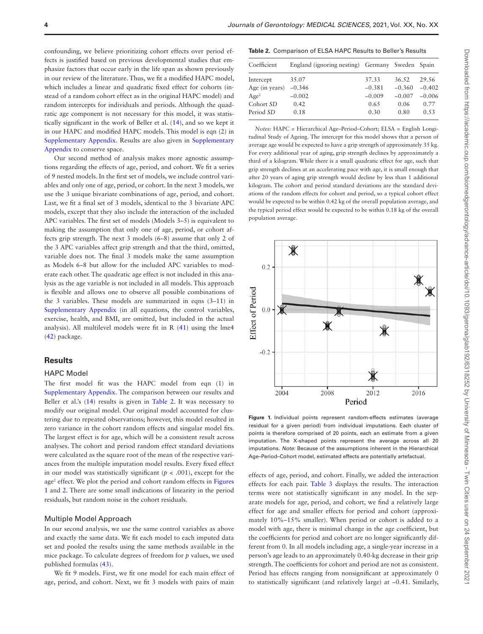confounding, we believe prioritizing cohort effects over period effects is justified based on previous developmental studies that emphasize factors that occur early in the life span as shown previously in our review of the literature. Thus, we fit a modified HAPC model, which includes a linear and quadratic fixed effect for cohorts (instead of a random cohort effect as in the original HAPC model) and random intercepts for individuals and periods. Although the quadratic age component is not necessary for this model, it was statistically significant in the work of Beller et al. [\(14](#page-6-10)), and so we kept it in our HAPC and modified HAPC models. This model is eqn (2) in [Supplementary Appendix.](http://academic.oup.com/biomedgerontology/article-lookup/doi/10.1093/gerona/glab192#supplementary-data) Results are also given in [Supplementary](http://academic.oup.com/biomedgerontology/article-lookup/doi/10.1093/gerona/glab192#supplementary-data)  [Appendix](http://academic.oup.com/biomedgerontology/article-lookup/doi/10.1093/gerona/glab192#supplementary-data) to conserve space.

Our second method of analysis makes more agnostic assumptions regarding the effects of age, period, and cohort. We fit a series of 9 nested models. In the first set of models, we include control variables and only one of age, period, or cohort. In the next 3 models, we use the 3 unique bivariate combinations of age, period, and cohort. Last, we fit a final set of 3 models, identical to the 3 bivariate APC models, except that they also include the interaction of the included APC variables. The first set of models (Models 3–5) is equivalent to making the assumption that only one of age, period, or cohort affects grip strength. The next 3 models (6–8) assume that only 2 of the 3 APC variables affect grip strength and that the third, omitted, variable does not. The final 3 models make the same assumption as Models 6–8 but allow for the included APC variables to moderate each other. The quadratic age effect is not included in this analysis as the age variable is not included in all models. This approach is flexible and allows one to observe all possible combinations of the 3 variables. These models are summarized in eqns (3–11) in [Supplementary Appendix](http://academic.oup.com/biomedgerontology/article-lookup/doi/10.1093/gerona/glab192#supplementary-data) (in all equations, the control variables, exercise, health, and BMI, are omitted, but included in the actual analysis). All multilevel models were fit in R ([41\)](#page-7-20) using the lme4 [\(42](#page-7-21)) package.

## **Results**

#### HAPC Model

The first model fit was the HAPC model from eqn (1) in [Supplementary Appendix](http://academic.oup.com/biomedgerontology/article-lookup/doi/10.1093/gerona/glab192#supplementary-data). The comparison between our results and Beller et al.'s [\(14](#page-6-10)) results is given in [Table 2](#page-3-0). It was necessary to modify our original model. Our original model accounted for clustering due to repeated observations; however, this model resulted in zero variance in the cohort random effects and singular model fits. The largest effect is for age, which will be a consistent result across analyses. The cohort and period random effect standard deviations were calculated as the square root of the mean of the respective variances from the multiple imputation model results. Every fixed effect in our model was statistically significant (*p* < .001), except for the age<sup>2</sup> effect. We plot the period and cohort random effects in Figures [1](#page-3-1) and [2.](#page-4-0) There are some small indications of linearity in the period residuals, but random noise in the cohort residuals.

#### Multiple Model Approach

In our second analysis, we use the same control variables as above and exactly the same data. We fit each model to each imputed data set and pooled the results using the same methods available in the mice package. To calculate degrees of freedom for *p* values, we used published formulas ([43\)](#page-7-22).

We fit 9 models. First, we fit one model for each main effect of age, period, and cohort. Next, we fit 3 models with pairs of main

#### <span id="page-3-0"></span>**Table 2.** Comparison of ELSA HAPC Results to Beller's Results

| Coefficient      | England (ignoring nesting) Germany Sweden Spain |          |          |          |
|------------------|-------------------------------------------------|----------|----------|----------|
| Intercept        | 35.07                                           | 37.33    | 36.52    | 29.56    |
| Age (in years)   | $-0.346$                                        | $-0.381$ | $-0.360$ | $-0.402$ |
| Age <sup>2</sup> | $-0.002$                                        | $-0.009$ | $-0.007$ | $-0.006$ |
| Cohort SD        | 0.42                                            | 0.65     | 0.06     | 0.77     |
| Period SD        | 0.18                                            | 0.30     | 0.80     | 0.53     |
|                  |                                                 |          |          |          |

*Notes:* HAPC = Hierarchical Age–Period–Cohort; ELSA = English Longitudinal Study of Ageing. The intercept for this model shows that a person of average age would be expected to have a grip strength of approximately 35 kg. For every additional year of aging, grip strength declines by approximately a third of a kilogram. While there is a small quadratic effect for age, such that grip strength declines at an accelerating pace with age, it is small enough that after 20 years of aging grip strength would decline by less than 1 additional kilogram. The cohort and period standard deviations are the standard deviations of the random effects for cohort and period, so a typical cohort effect would be expected to be within 0.42 kg of the overall population average, and the typical period effect would be expected to be within 0.18 kg of the overall population average.



<span id="page-3-1"></span>**Figure 1.** Individual points represent random-effects estimates (average residual for a given period) from individual imputations. Each cluster of points is therefore comprised of 20 points, each an estimate from a given imputation. The X-shaped points represent the average across all 20 imputations. *Note:* Because of the assumptions inherent in the Hierarchical Age–Period–Cohort model, estimated effects are potentially artefactual.

effects of age, period, and cohort. Finally, we added the interaction effects for each pair. [Table 3](#page-4-1) displays the results. The interaction terms were not statistically significant in any model. In the separate models for age, period, and cohort, we find a relatively large effect for age and smaller effects for period and cohort (approximately 10%–15% smaller). When period or cohort is added to a model with age, there is minimal change in the age coefficient, but the coefficients for period and cohort are no longer significantly different from 0. In all models including age, a single-year increase in a person's age leads to an approximately 0.40-kg decrease in their grip strength. The coefficients for cohort and period are not as consistent. Period has effects ranging from nonsignificant at approximately 0 to statistically significant (and relatively large) at −0.41. Similarly,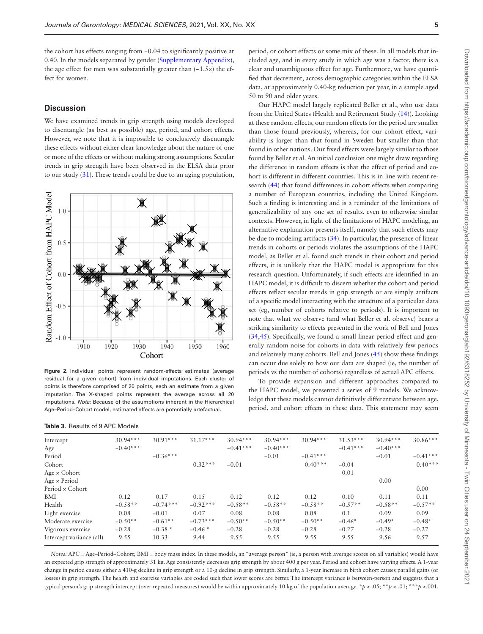the cohort has effects ranging from −0.04 to significantly positive at 0.40. In the models separated by gender ([Supplementary Appendix](http://academic.oup.com/biomedgerontology/article-lookup/doi/10.1093/gerona/glab192#supplementary-data)), the age effect for men was substantially greater than  $(-1.5x)$  the effect for women.

## **Discussion**

We have examined trends in grip strength using models developed to disentangle (as best as possible) age, period, and cohort effects. However, we note that it is impossible to conclusively disentangle these effects without either clear knowledge about the nature of one or more of the effects or without making strong assumptions. Secular trends in grip strength have been observed in the ELSA data prior to our study [\(31](#page-7-10)). These trends could be due to an aging population,



<span id="page-4-0"></span>**Figure 2.** Individual points represent random-effects estimates (average residual for a given cohort) from individual imputations. Each cluster of points is therefore comprised of 20 points, each an estimate from a given imputation. The X-shaped points represent the average across all 20 imputations. *Note:* Because of the assumptions inherent in the Hierarchical Age–Period–Cohort model, estimated effects are potentially artefactual.

#### <span id="page-4-1"></span>**Table 3.** Results of 9 APC Models

period, or cohort effects or some mix of these. In all models that included age, and in every study in which age was a factor, there is a clear and unambiguous effect for age. Furthermore, we have quantified that decrement, across demographic categories within the ELSA data, at approximately 0.40-kg reduction per year, in a sample aged 50 to 90 and older years.

Our HAPC model largely replicated Beller et al., who use data from the United States (Health and Retirement Study [\(14](#page-6-10))). Looking at these random effects, our random effects for the period are smaller than those found previously, whereas, for our cohort effect, variability is larger than that found in Sweden but smaller than that found in other nations. Our fixed effects were largely similar to those found by Beller et al. An initial conclusion one might draw regarding the difference in random effects is that the effect of period and cohort is different in different countries. This is in line with recent research [\(44](#page-7-23)) that found differences in cohort effects when comparing a number of European countries, including the United Kingdom. Such a finding is interesting and is a reminder of the limitations of generalizability of any one set of results, even to otherwise similar contexts. However, in light of the limitations of HAPC modeling, an alternative explanation presents itself, namely that such effects may be due to modeling artifacts ([34\)](#page-7-13). In particular, the presence of linear trends in cohorts or periods violates the assumptions of the HAPC model, as Beller et al. found such trends in their cohort and period effects, it is unlikely that the HAPC model is appropriate for this research question. Unfortunately, if such effects are identified in an HAPC model, it is difficult to discern whether the cohort and period effects reflect secular trends in grip strength or are simply artifacts of a specific model interacting with the structure of a particular data set (eg, number of cohorts relative to periods). It is important to note that what we observe (and what Beller et al. observe) bears a striking similarity to effects presented in the work of Bell and Jones [\(34](#page-7-13)[,45](#page-7-24)). Specifically, we found a small linear period effect and generally random noise for cohorts in data with relatively few periods and relatively many cohorts. Bell and Jones ([45\)](#page-7-24) show these findings can occur due solely to how our data are shaped (ie, the number of periods vs the number of cohorts) regardless of actual APC effects.

To provide expansion and different approaches compared to the HAPC model, we presented a series of 9 models. We acknowledge that these models cannot definitively differentiate between age, period, and cohort effects in these data. This statement may seem

| Intercept                | $30.94***$ | $30.91***$ | $31.17***$ | $30.94***$ | $30.94***$ | $30.94***$ | $31.53***$ | $30.94***$ | $30.86***$ |
|--------------------------|------------|------------|------------|------------|------------|------------|------------|------------|------------|
| Age                      | $-0.40***$ |            |            | $-0.41***$ | $-0.40***$ |            | $-0.41***$ | $-0.40***$ |            |
| Period                   |            | $-0.36***$ |            |            | $-0.01$    | $-0.41***$ |            | $-0.01$    | $-0.41***$ |
| Cohort                   |            |            | $0.32***$  | $-0.01$    |            | $0.40***$  | $-0.04$    |            | $0.40***$  |
| Age $\times$ Cohort      |            |            |            |            |            |            | 0.01       |            |            |
| Age $\times$ Period      |            |            |            |            |            |            |            | 0.00       |            |
| Period × Cohort          |            |            |            |            |            |            |            |            | 0.00       |
| <b>BMI</b>               | 0.12       | 0.17       | 0.15       | 0.12       | 0.12       | 0.12       | 0.10       | 0.11       | 0.11       |
| Health                   | $-0.58**$  | $-0.74***$ | $-0.92***$ | $-0.58**$  | $-0.58**$  | $-0.58**$  | $-0.57**$  | $-0.58**$  | $-0.57**$  |
| Light exercise           | 0.08       | $-0.01$    | 0.07       | 0.08       | 0.08       | 0.08       | 0.1        | 0.09       | 0.09       |
| Moderate exercise        | $-0.50**$  | $-0.61**$  | $-0.73***$ | $-0.50**$  | $-0.50**$  | $-0.50**$  | $-0.46*$   | $-0.49*$   | $-0.48*$   |
| Vigorous exercise        | $-0.28$    | $-0.38*$   | $-0.46*$   | $-0.28$    | $-0.28$    | $-0.28$    | $-0.27$    | $-0.28$    | $-0.27$    |
| Intercept variance (all) | 9.55       | 10.33      | 9.44       | 9.55       | 9.55       | 9.55       | 9.55       | 9.56       | 9.57       |
|                          |            |            |            |            |            |            |            |            |            |

*Notes:* APC = Age–Period–Cohort; BMI = body mass index. In these models, an "average person" (ie, a person with average scores on all variables) would have an expected grip strength of approximately 31 kg. Age consistently decreases grip strength by about 400 g per year. Period and cohort have varying effects. A 1-year change in period causes either a 410-g decline in grip strength or a 10-g decline in grip strength. Similarly, a 1-year increase in birth cohort causes parallel gains (or losses) in grip strength. The health and exercise variables are coded such that lower scores are better. The intercept variance is between-person and suggests that a typical person's grip strength intercept (over repeated measures) would be within approximately 10 kg of the population average. \**p* < .05; \*\**p* < .01; \*\*\**p* <.001.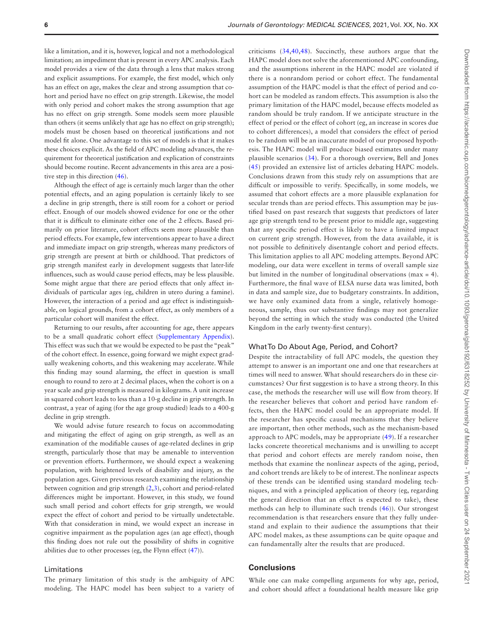like a limitation, and it is, however, logical and not a methodological limitation; an impediment that is present in every APC analysis. Each model provides a view of the data through a lens that makes strong and explicit assumptions. For example, the first model, which only has an effect on age, makes the clear and strong assumption that cohort and period have no effect on grip strength. Likewise, the model with only period and cohort makes the strong assumption that age has no effect on grip strength. Some models seem more plausible than others (it seems unlikely that age has no effect on grip strength); models must be chosen based on theoretical justifications and not model fit alone. One advantage to this set of models is that it makes these choices explicit. As the field of APC modeling advances, the requirement for theoretical justification and explication of constraints should become routine. Recent advancements in this area are a positive step in this direction [\(46](#page-7-25)).

Although the effect of age is certainly much larger than the other potential effects, and an aging population is certainly likely to see a decline in grip strength, there is still room for a cohort or period effect. Enough of our models showed evidence for one or the other that it is difficult to eliminate either one of the 2 effects. Based primarily on prior literature, cohort effects seem more plausible than period effects. For example, few interventions appear to have a direct and immediate impact on grip strength, whereas many predictors of grip strength are present at birth or childhood. That predictors of grip strength manifest early in development suggests that later-life influences, such as would cause period effects, may be less plausible. Some might argue that there are period effects that only affect individuals of particular ages (eg, children in utero during a famine). However, the interaction of a period and age effect is indistinguishable, on logical grounds, from a cohort effect, as only members of a particular cohort will manifest the effect.

Returning to our results, after accounting for age, there appears to be a small quadratic cohort effect [\(Supplementary Appendix](http://academic.oup.com/biomedgerontology/article-lookup/doi/10.1093/gerona/glab192#supplementary-data)). This effect was such that we would be expected to be past the "peak" of the cohort effect. In essence, going forward we might expect gradually weakening cohorts, and this weakening may accelerate. While this finding may sound alarming, the effect in question is small enough to round to zero at 2 decimal places, when the cohort is on a year scale and grip strength is measured in kilograms. A unit increase in squared cohort leads to less than a 10-g decline in grip strength. In contrast, a year of aging (for the age group studied) leads to a 400-g decline in grip strength.

We would advise future research to focus on accommodating and mitigating the effect of aging on grip strength, as well as an examination of the modifiable causes of age-related declines in grip strength, particularly those that may be amenable to intervention or prevention efforts. Furthermore, we should expect a weakening population, with heightened levels of disability and injury, as the population ages. Given previous research examining the relationship between cognition and grip strength ([2](#page-6-13),[3](#page-6-1)), cohort and period-related differences might be important. However, in this study, we found such small period and cohort effects for grip strength, we would expect the effect of cohort and period to be virtually undetectable. With that consideration in mind, we would expect an increase in cognitive impairment as the population ages (an age effect), though this finding does not rule out the possibility of shifts in cognitive abilities due to other processes (eg, the Flynn effect ([47\)](#page-7-26)).

#### Limitations

The primary limitation of this study is the ambiguity of APC modeling. The HAPC model has been subject to a variety of criticisms ([34](#page-7-13)[,40](#page-7-19),[48\)](#page-7-27). Succinctly, these authors argue that the HAPC model does not solve the aforementioned APC confounding, and the assumptions inherent in the HAPC model are violated if there is a nonrandom period or cohort effect. The fundamental assumption of the HAPC model is that the effect of period and cohort can be modeled as random effects. This assumption is also the primary limitation of the HAPC model, because effects modeled as random should be truly random. If we anticipate structure in the effect of period or the effect of cohort (eg, an increase in scores due to cohort differences), a model that considers the effect of period to be random will be an inaccurate model of our proposed hypothesis. The HAPC model will produce biased estimates under many plausible scenarios ([34](#page-7-13)). For a thorough overview, Bell and Jones [\(45\)](#page-7-24) provided an extensive list of articles debating HAPC models. Conclusions drawn from this study rely on assumptions that are difficult or impossible to verify. Specifically, in some models, we assumed that cohort effects are a more plausible explanation for secular trends than are period effects. This assumption may be justified based on past research that suggests that predictors of later age grip strength tend to be present prior to middle age, suggesting that any specific period effect is likely to have a limited impact on current grip strength. However, from the data available, it is not possible to definitively disentangle cohort and period effects. This limitation applies to all APC modeling attempts. Beyond APC modeling, our data were excellent in terms of overall sample size but limited in the number of longitudinal observations (max = 4). Furthermore, the final wave of ELSA nurse data was limited, both in data and sample size, due to budgetary constraints. In addition, we have only examined data from a single, relatively homogeneous, sample, thus our substantive findings may not generalize beyond the setting in which the study was conducted (the United Kingdom in the early twenty-first century).

#### What To Do About Age, Period, and Cohort?

Despite the intractability of full APC models, the question they attempt to answer is an important one and one that researchers at times will need to answer. What should researchers do in these circumstances? Our first suggestion is to have a strong theory. In this case, the methods the researcher will use will flow from theory. If the researcher believes that cohort and period have random effects, then the HAPC model could be an appropriate model. If the researcher has specific causal mechanisms that they believe are important, then other methods, such as the mechanism-based approach to APC models, may be appropriate ([49](#page-7-28)). If a researcher lacks concrete theoretical mechanisms and is unwilling to accept that period and cohort effects are merely random noise, then methods that examine the nonlinear aspects of the aging, period, and cohort trends are likely to be of interest. The nonlinear aspects of these trends can be identified using standard modeling techniques, and with a principled application of theory (eg, regarding the general direction that an effect is expected to take), these methods can help to illuminate such trends ([46\)](#page-7-25)). Our strongest recommendation is that researchers ensure that they fully understand and explain to their audience the assumptions that their APC model makes, as these assumptions can be quite opaque and can fundamentally alter the results that are produced.

## **Conclusions**

While one can make compelling arguments for why age, period, and cohort should affect a foundational health measure like grip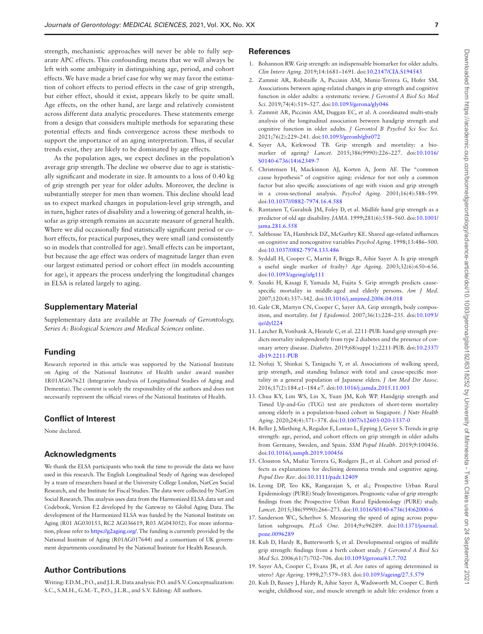strength, mechanistic approaches will never be able to fully separate APC effects. This confounding means that we will always be left with some ambiguity in distinguishing age, period, and cohort effects. We have made a brief case for why we may favor the estimation of cohort effects to period effects in the case of grip strength, but either effect, should it exist, appears likely to be quite small. Age effects, on the other hand, are large and relatively consistent across different data analytic procedures. These statements emerge from a design that considers multiple methods for separating these potential effects and finds convergence across these methods to support the importance of an aging interpretation. Thus, if secular trends exist, they are likely to be dominated by age effects.

As the population ages, we expect declines in the population's average grip strength. The decline we observe due to age is statistically significant and moderate in size. It amounts to a loss of 0.40 kg of grip strength per year for older adults. Moreover, the decline is substantially steeper for men than women. This decline should lead us to expect marked changes in population-level grip strength, and in turn, higher rates of disability and a lowering of general health, insofar as grip strength remains an accurate measure of general health. Where we did occasionally find statistically significant period or cohort effects, for practical purposes, they were small (and consistently so in models that controlled for age). Small effects can be important, but because the age effect was orders of magnitude larger than even our largest estimated period or cohort effect (in models accounting for age), it appears the process underlying the longitudinal changes in ELSA is related largely to aging.

## **Supplementary Material**

Supplementary data are available at *The Journals of Gerontology, Series A: Biological Sciences and Medical Sciences* online.

## **Funding**

Research reported in this article was supported by the National Institute on Aging of the National Institutes of Health under award number 1R01AG067621 (Integrative Analysis of Longitudinal Studies of Aging and Dementia). The content is solely the responsibility of the authors and does not necessarily represent the official views of the National Institutes of Health.

## **Conflict of Interest**

None declared.

## **Acknowledgments**

We thank the ELSA participants who took the time to provide the data we have used in this research. The English Longitudinal Study of Ageing was developed by a team of researchers based at the University College London, NatCen Social Research, and the Institute for Fiscal Studies. The data were collected by NatCen Social Research. This analysis uses data from the Harmonized ELSA data set and Codebook, Version F.2 developed by the Gateway to Global Aging Data. The development of the Harmonized ELSA was funded by the National Institute on Aging (R01 AG030153, RC2 AG036619, R03 AG043052). For more information, please refer to<https://g2aging.org/>. The funding is currently provided by the National Institute of Aging (R01AG017644) and a consortium of UK government departments coordinated by the National Institute for Health Research.

## **Author Contributions**

Writing: F.D.M., P.O., and J.L.R. Data analysis: P.O. and S.V. Conceptualization: S.C., S.M.H., G.M.-T., P.O., J.L.R., and S.V. Editing: All authors.

#### **References**

- <span id="page-6-0"></span>1. Bohannon RW. Grip strength: an indispensable biomarker for older adults. *Clin Interv Aging*. 2019;14:1681–1691. doi[:10.2147/CIA.S194543](https://doi.org/10.2147/CIA.S194543)
- <span id="page-6-13"></span>2. Zammit AR, Robitaille A, Piccinin AM, Muniz-Terrera G, Hofer SM. Associations between aging-related changes in grip strength and cognitive function in older adults: a systematic review. *J Gerontol A Biol Sci Med Sci*. 2019;74(4):519–527. doi:[10.1093/gerona/gly046](https://doi.org/10.1093/gerona/gly046)
- <span id="page-6-1"></span>3. Zammit AR, Piccinin AM, Duggan EC, et al. A coordinated multi-study analysis of the longitudinal association between handgrip strength and cognitive function in older adults. *J Gerontol B Psychol Sci Soc Sci*. 2021;76(2):229–241. doi:[10.1093/geronb/gbz072](https://doi.org/10.1093/geronb/gbz072)
- <span id="page-6-2"></span>4. Sayer AA, Kirkwood TB. Grip strength and mortality: a biomarker of ageing? *Lancet*. 2015;386(9990):226–227. doi[:10.1016/](https://doi.org/10.1016/S0140-6736(14)62349-7) [S0140-6736\(14\)62349-7](https://doi.org/10.1016/S0140-6736(14)62349-7)
- <span id="page-6-3"></span>5. Christensen H, Mackinnon AJ, Korten A, Jorm AF. The "common cause hypothesis" of cognitive aging: evidence for not only a common factor but also specific associations of age with vision and grip strength in a cross-sectional analysis. *Psychol Aging*. 2001;16(4):588–599. doi[:10.1037//0882-7974.16.4.588](https://doi.org/10.1037//0882-7974.16.4.588)
- <span id="page-6-5"></span>6. Rantanen T, Guralnik JM, Foley D, et al. Midlife hand grip strength as a predictor of old age disability. *JAMA*. 1999;281(6):558–560. doi[:10.1001/](https://doi.org/10.1001/jama.281.6.558) [jama.281.6.558](https://doi.org/10.1001/jama.281.6.558)
- 7. Salthouse TA, Hambrick DZ, McGuthry KE. Shared age-related influences on cognitive and noncognitive variables *Psychol Aging*. 1998;13:486–500. doi[:10.1037/0882-7974.133.486](https://doi.org/10.1037/0882-7974.133.486)
- <span id="page-6-4"></span>8. Syddall H, Cooper C, Martin F, Briggs R, Aihie Sayer A. Is grip strength a useful single marker of frailty? *Age Ageing*. 2003;32(6):650–656. doi[:10.1093/ageing/afg111](https://doi.org/10.1093/ageing/afg111)
- <span id="page-6-6"></span>9. Sasaki H, Kasagi F, Yamada M, Fujita S. Grip strength predicts causespecific mortality in middle-aged and elderly persons. *Am J Med*. 2007;120(4):337–342. doi[:10.1016/j.amjmed.2006.04.018](https://doi.org/10.1016/j.amjmed.2006.04.018)
- 10. Gale CR, Martyn CN, Cooper C, Sayer AA. Grip strength, body composition, and mortality. *Int J Epidemiol*. 2007;36(1):228–235. doi[:10.1093/](https://doi.org/10.1093/ije/dyl224) [ije/dyl224](https://doi.org/10.1093/ije/dyl224)
- <span id="page-6-7"></span>11. Larcher B, Vonbank A, Heinzle C, et al. 2211-PUB: hand grip strength predicts mortality independently from type 2 diabetes and the presence of coronary artery disease. *Diabetes*. 2019;68(suppl 1):2211-PUB. doi[:10.2337/](https://doi.org/10.2337/db19-2211-PUB) [db19-2211-PUB](https://doi.org/10.2337/db19-2211-PUB)
- <span id="page-6-8"></span>12. Nofuji Y, Shinkai S, Taniguchi Y, et al. Associations of walking speed, grip strength, and standing balance with total and cause-specific mortality in a general population of Japanese elders. *J Am Med Dir Assoc*. 2016;17(2):184.e1–184.e7. doi[:10.1016/j.jamda.2015.11.003](https://doi.org/10.1016/j.jamda.2015.11.003)
- <span id="page-6-9"></span>13. Chua KY, Lim WS, Lin X, Yuan JM, Koh WP. Handgrip strength and Timed Up-and-Go (TUG) test are predictors of short-term mortality among elderly in a population-based cohort in Singapore. *J Nutr Health Aging*. 2020;24(4):371–378. doi[:10.1007/s12603-020-1337-0](https://doi.org/10.1007/s12603-020-1337-0)
- <span id="page-6-10"></span>14. Beller J, Miething A, Regidor E, Lostao L, Epping J, Geyer S. Trends in grip strength: age, period, and cohort effects on grip strength in older adults from Germany, Sweden, and Spain. *SSM Popul Health*. 2019;9:100456. doi[:10.1016/j.ssmph.2019.100456](https://doi.org/10.1016/j.ssmph.2019.100456)
- <span id="page-6-11"></span>15. Clouston SA, Muñiz Terrera G, Rodgers JL, et al. Cohort and period effects as explanations for declining dementia trends and cognitive aging. *Popul Dev Rev*. doi[:10.1111/padr.12409](https://doi.org/10.1111/padr.12409)
- <span id="page-6-12"></span>16. Leong DP, Teo KK, Rangarajan S, et al.; Prospective Urban Rural Epidemiology (PURE) Study Investigators. Prognostic value of grip strength: findings from the Prospective Urban Rural Epidemiology (PURE) study. *Lancet*. 2015;386(9990):266–273. doi:[10.1016/S0140-6736\(14\)62000-6](https://doi.org/10.1016/S0140-6736(14)62000-6)
- <span id="page-6-14"></span>17. Sanderson WC, Scherbov S. Measuring the speed of aging across population subgroups. *PLoS One*. 2014;9:e96289. doi:[10.1371/journal.](https://doi.org/10.1371/journal.pone.0096289) [pone.0096289](https://doi.org/10.1371/journal.pone.0096289)
- <span id="page-6-15"></span>18. Kuh D, Hardy R, Butterworth S, et al. Developmental origins of midlife grip strength: findings from a birth cohort study. *J Gerontol A Biol Sci Med Sci*. 2006;61(7):702–706. doi[:10.1093/gerona/61.7.702](https://doi.org/10.1093/gerona/61.7.702)
- <span id="page-6-16"></span>19. Sayer AA, Cooper C, Evans JR, et al. Are rates of ageing determined in utero? *Age Ageing*. 1998;27:579–583. doi[:10.1093/ageing/27.5.579](https://doi.org/10.1093/ageing/27.5.579)
- <span id="page-6-17"></span>20. Kuh D, Bassey J, Hardy R, Aihie Sayer A, Wadsworth M, Cooper C. Birth weight, childhood size, and muscle strength in adult life: evidence from a